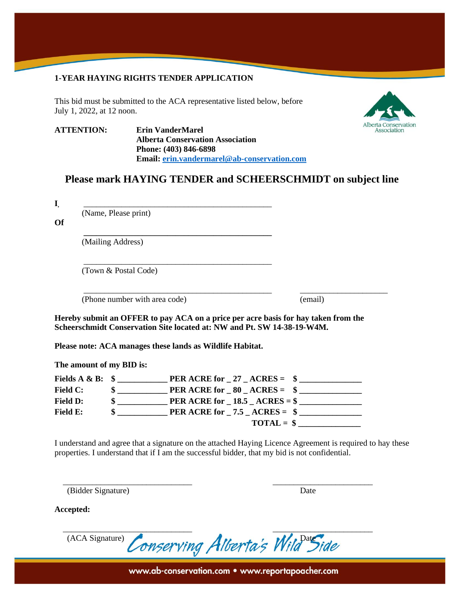#### **1-YEAR HAYING RIGHTS TENDER APPLICATION**

This bid must be submitted to the ACA representative listed below, before July 1, 2022, at 12 noon.



**ATTENTION: Erin VanderMarel Alberta Conservation Association Phone: (403) 846-6898 Email: [erin.vandermarel@ab-conservation.com](mailto:erin.vandermarel@ab-conservation.com)**

**\_\_\_\_\_\_\_\_\_\_\_\_\_\_\_\_\_\_\_\_\_\_\_\_\_\_\_\_\_\_\_\_\_\_\_\_\_\_\_\_\_\_\_\_\_**

\_\_\_\_\_\_\_\_\_\_\_\_\_\_\_\_\_\_\_\_\_\_\_\_\_\_\_\_\_\_\_\_\_\_\_\_\_\_\_\_\_\_\_\_\_

# **Please mark HAYING TENDER and SCHEERSCHMIDT on subject line**

\_\_\_\_\_\_\_\_\_\_\_\_\_\_\_\_\_\_\_\_\_\_\_\_\_\_\_\_\_\_\_\_\_\_\_\_\_\_\_\_\_\_\_\_\_ \_\_\_\_\_\_\_\_\_\_\_\_\_\_\_\_\_\_\_\_\_

**I,** \_\_\_\_\_\_\_\_\_\_\_\_\_\_\_\_\_\_\_\_\_\_\_\_\_\_\_\_\_\_\_\_\_\_\_\_\_\_\_\_\_\_\_\_\_

(Name, Please print)

**Of**

(Mailing Address)

(Town & Postal Code)

(Phone number with area code) (email)

**Hereby submit an OFFER to pay ACA on a price per acre basis for hay taken from the Scheerschmidt Conservation Site located at: NW and Pt. SW 14-38-19-W4M.**

**Please note: ACA manages these lands as Wildlife Habitat.**

**The amount of my BID is:**

| Fields $A \& B: \$$ | <b>PER ACRE for 27 ACRES = <math>\frac{1}{2}</math></b>        |
|---------------------|----------------------------------------------------------------|
| <b>Field C:</b>     | <b>PER ACRE for <math>80</math> ACRES = \$</b><br>$\mathbf{s}$ |
| <b>Field D:</b>     | PER ACRE for $-18.5 - ACRES =$ \$                              |
| Field E:            | <b>PER ACRE for 7.5 ACRES = <math>\frac{1}{2}</math></b>       |
|                     | $\textbf{TOTAL} = \$$                                          |

 $\overline{\phantom{a}}$  , and the contribution of the contribution of the contribution of the contribution of the contribution of the contribution of the contribution of the contribution of the contribution of the contribution of the

I understand and agree that a signature on the attached Haying Licence Agreement is required to hay these properties. I understand that if I am the successful bidder, that my bid is not confidential.

(Bidder Signature) Date

**Accepted:**

 $\overline{\phantom{a}}$  , and the contribution of the contribution of the contribution of the contribution of the contribution of the contribution of the contribution of the contribution of the contribution of the contribution of the (ACA Signature) Conserving Alberta's Wild Side

www.ab-conservation.com • www.reportapoacher.com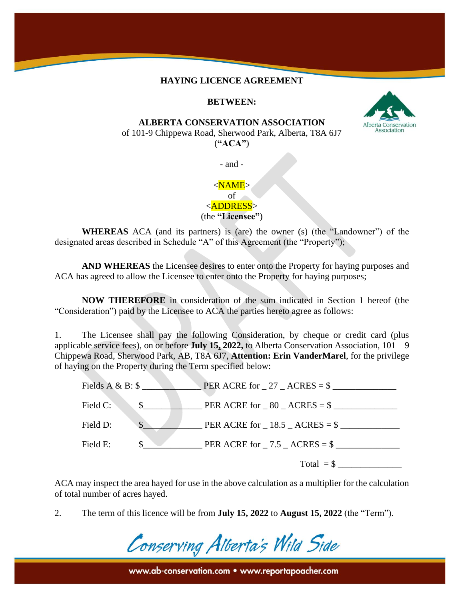#### **HAYING LICENCE AGREEMENT**

## **BETWEEN:**



of 101-9 Chippewa Road, Sherwood Park, Alberta, T8A 6J7 (**"ACA"**)

- and -

# $<$ NAME $>$ of

<ADDRESS> (the **"Licensee"**)

**WHEREAS** ACA (and its partners) is (are) the owner (s) (the "Landowner") of the designated areas described in Schedule "A" of this Agreement (the "Property");

**AND WHEREAS** the Licensee desires to enter onto the Property for haying purposes and ACA has agreed to allow the Licensee to enter onto the Property for haying purposes;

**NOW THEREFORE** in consideration of the sum indicated in Section 1 hereof (the "Consideration") paid by the Licensee to ACA the parties hereto agree as follows:

1. The Licensee shall pay the following Consideration, by cheque or credit card (plus applicable service fees), on or before **July 15, 2022,** to Alberta Conservation Association, 101 – 9 Chippewa Road, Sherwood Park, AB, T8A 6J7, **Attention: Erin VanderMarel**, for the privilege of haying on the Property during the Term specified below:

|                           | $\angle$ PER ACRE for $\angle$ 27 $\angle$ ACRES = \$ |
|---------------------------|-------------------------------------------------------|
| Field C:<br>$\mathbb{S}$  | PER ACRE for $-80 - ACRES = $$                        |
| $\mathcal{S}$<br>Field D: | PER ACRE for $-18.5 - ACRES =$ \$                     |
| Field E:                  | PER ACRE for $-7.5$ $-$ ACRES = \$                    |
|                           | Total $=$ \$                                          |

ACA may inspect the area hayed for use in the above calculation as a multiplier for the calculation of total number of acres hayed.

2. The term of this licence will be from **July 15, 2022** to **August 15, 2022** (the "Term").



www.ab-conservation.com • www.reportapoacher.com

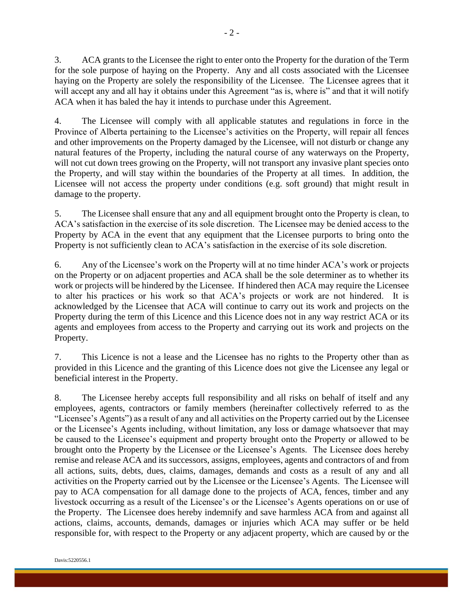3. ACA grants to the Licensee the right to enter onto the Property for the duration of the Term for the sole purpose of haying on the Property. Any and all costs associated with the Licensee haying on the Property are solely the responsibility of the Licensee. The Licensee agrees that it will accept any and all hay it obtains under this Agreement "as is, where is" and that it will notify ACA when it has baled the hay it intends to purchase under this Agreement.

4. The Licensee will comply with all applicable statutes and regulations in force in the Province of Alberta pertaining to the Licensee's activities on the Property, will repair all fences and other improvements on the Property damaged by the Licensee, will not disturb or change any natural features of the Property, including the natural course of any waterways on the Property, will not cut down trees growing on the Property, will not transport any invasive plant species onto the Property, and will stay within the boundaries of the Property at all times. In addition, the Licensee will not access the property under conditions (e.g. soft ground) that might result in damage to the property.

5. The Licensee shall ensure that any and all equipment brought onto the Property is clean, to ACA's satisfaction in the exercise of its sole discretion. The Licensee may be denied access to the Property by ACA in the event that any equipment that the Licensee purports to bring onto the Property is not sufficiently clean to ACA's satisfaction in the exercise of its sole discretion.

6. Any of the Licensee's work on the Property will at no time hinder ACA's work or projects on the Property or on adjacent properties and ACA shall be the sole determiner as to whether its work or projects will be hindered by the Licensee. If hindered then ACA may require the Licensee to alter his practices or his work so that ACA's projects or work are not hindered. It is acknowledged by the Licensee that ACA will continue to carry out its work and projects on the Property during the term of this Licence and this Licence does not in any way restrict ACA or its agents and employees from access to the Property and carrying out its work and projects on the Property.

7. This Licence is not a lease and the Licensee has no rights to the Property other than as provided in this Licence and the granting of this Licence does not give the Licensee any legal or beneficial interest in the Property.

8. The Licensee hereby accepts full responsibility and all risks on behalf of itself and any employees, agents, contractors or family members (hereinafter collectively referred to as the "Licensee's Agents") as a result of any and all activities on the Property carried out by the Licensee or the Licensee's Agents including, without limitation, any loss or damage whatsoever that may be caused to the Licensee's equipment and property brought onto the Property or allowed to be brought onto the Property by the Licensee or the Licensee's Agents. The Licensee does hereby remise and release ACA and its successors, assigns, employees, agents and contractors of and from all actions, suits, debts, dues, claims, damages, demands and costs as a result of any and all activities on the Property carried out by the Licensee or the Licensee's Agents. The Licensee will pay to ACA compensation for all damage done to the projects of ACA, fences, timber and any livestock occurring as a result of the Licensee's or the Licensee's Agents operations on or use of the Property. The Licensee does hereby indemnify and save harmless ACA from and against all actions, claims, accounts, demands, damages or injuries which ACA may suffer or be held responsible for, with respect to the Property or any adjacent property, which are caused by or the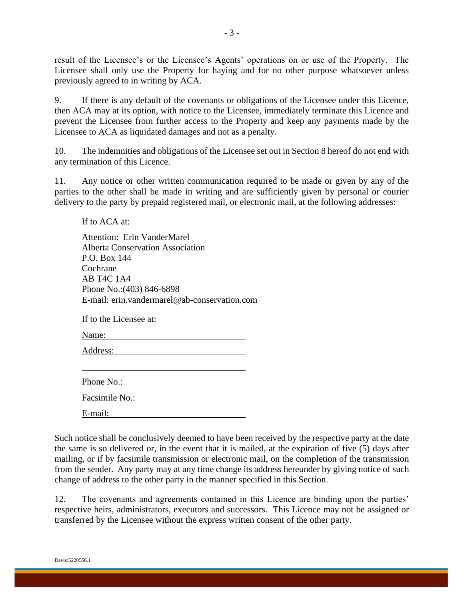result of the Licensee's or the Licensee's Agents' operations on or use of the Property. The Licensee shall only use the Property for haying and for no other purpose whatsoever unless previously agreed to in writing by ACA.

9. If there is any default of the covenants or obligations of the Licensee under this Licence, then ACA may at its option, with notice to the Licensee, immediately terminate this Licence and prevent the Licensee from further access to the Property and keep any payments made by the Licensee to ACA as liquidated damages and not as a penalty.

10. The indemnities and obligations of the Licensee set out in Section 8 hereof do not end with any termination of this Licence.

11. Any notice or other written communication required to be made or given by any of the parties to the other shall be made in writing and are sufficiently given by personal or courier delivery to the party by prepaid registered mail, or electronic mail, at the following addresses:

If to ACA at:

Attention: Erin VanderMarel Alberta Conservation Association P.O. Box 144 Cochrane AB T4C 1A4 Phone No.:(403) 846-6898 E-mail: erin.vandermarel@ab-conservation.com

If to the Licensee at:

Name:

Address: 2008. And 2008. And 2008. And 2008. And 2008. And 2008. And 2008. And 2008. And 2008. And 2008. And 2008. And 2008. And 2008. And 2008. And 2008. And 2008. And 2008. And 2008. And 2008. And 2008. And 2008. And 200

Phone No.: 2008. The Manual School and The Manual School and The Manual School and The Manual School and The Manual School and The Manual School and The Manual School and The Manual School and The Manual School and The Man

Facsimile No.:

E-mail:

Such notice shall be conclusively deemed to have been received by the respective party at the date the same is so delivered or, in the event that it is mailed, at the expiration of five (5) days after mailing, or if by facsimile transmission or electronic mail, on the completion of the transmission from the sender. Any party may at any time change its address hereunder by giving notice of such change of address to the other party in the manner specified in this Section.

12. The covenants and agreements contained in this Licence are binding upon the parties' respective heirs, administrators, executors and successors. This Licence may not be assigned or transferred by the Licensee without the express written consent of the other party.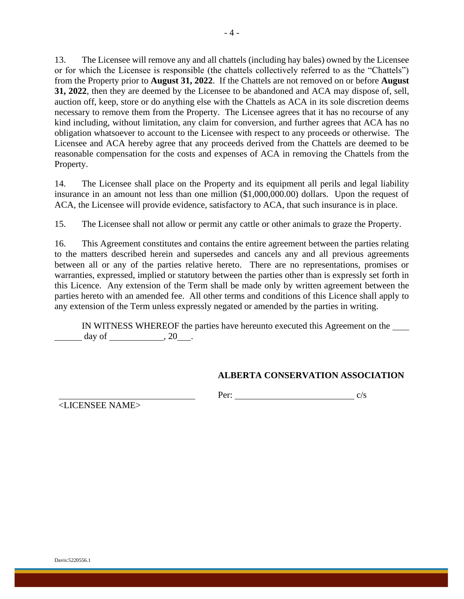13. The Licensee will remove any and all chattels (including hay bales) owned by the Licensee or for which the Licensee is responsible (the chattels collectively referred to as the "Chattels") from the Property prior to **August 31, 2022**. If the Chattels are not removed on or before **August 31, 2022**, then they are deemed by the Licensee to be abandoned and ACA may dispose of, sell, auction off, keep, store or do anything else with the Chattels as ACA in its sole discretion deems necessary to remove them from the Property. The Licensee agrees that it has no recourse of any kind including, without limitation, any claim for conversion, and further agrees that ACA has no obligation whatsoever to account to the Licensee with respect to any proceeds or otherwise. The Licensee and ACA hereby agree that any proceeds derived from the Chattels are deemed to be reasonable compensation for the costs and expenses of ACA in removing the Chattels from the Property.

14. The Licensee shall place on the Property and its equipment all perils and legal liability insurance in an amount not less than one million (\$1,000,000.00) dollars. Upon the request of ACA, the Licensee will provide evidence, satisfactory to ACA, that such insurance is in place.

15. The Licensee shall not allow or permit any cattle or other animals to graze the Property.

16. This Agreement constitutes and contains the entire agreement between the parties relating to the matters described herein and supersedes and cancels any and all previous agreements between all or any of the parties relative hereto. There are no representations, promises or warranties, expressed, implied or statutory between the parties other than is expressly set forth in this Licence. Any extension of the Term shall be made only by written agreement between the parties hereto with an amended fee. All other terms and conditions of this Licence shall apply to any extension of the Term unless expressly negated or amended by the parties in writing.

IN WITNESS WHEREOF the parties have hereunto executed this Agreement on the day of  $, 20$ .

### **ALBERTA CONSERVATION ASSOCIATION**

Per:  $c/s$ 

<LICENSEE NAME>